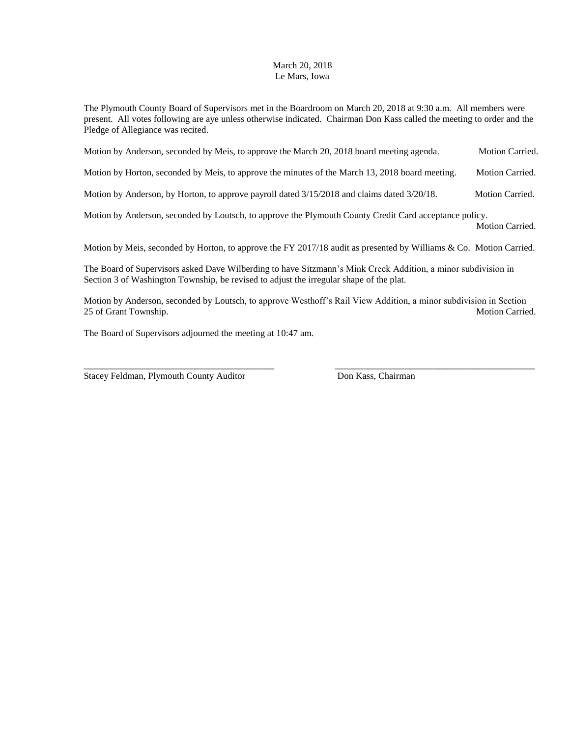## March 20, 2018 Le Mars, Iowa

The Plymouth County Board of Supervisors met in the Boardroom on March 20, 2018 at 9:30 a.m. All members were present. All votes following are aye unless otherwise indicated. Chairman Don Kass called the meeting to order and the Pledge of Allegiance was recited.

| Motion by Anderson, seconded by Meis, to approve the March 20, 2018 board meeting agenda.       | <b>Motion Carried.</b> |
|-------------------------------------------------------------------------------------------------|------------------------|
| Motion by Horton, seconded by Meis, to approve the minutes of the March 13, 2018 board meeting. | Motion Carried.        |
| Motion by Anderson, by Horton, to approve payroll dated 3/15/2018 and claims dated 3/20/18.     | <b>Motion Carried.</b> |

Motion by Anderson, seconded by Loutsch, to approve the Plymouth County Credit Card acceptance policy.

Motion Carried.

Motion by Meis, seconded by Horton, to approve the FY 2017/18 audit as presented by Williams & Co. Motion Carried.

The Board of Supervisors asked Dave Wilberding to have Sitzmann's Mink Creek Addition, a minor subdivision in Section 3 of Washington Township, be revised to adjust the irregular shape of the plat.

Motion by Anderson, seconded by Loutsch, to approve Westhoff's Rail View Addition, a minor subdivision in Section 25 of Grant Township. Motion Carried.

The Board of Supervisors adjourned the meeting at 10:47 am.

Stacey Feldman, Plymouth County Auditor Don Kass, Chairman

\_\_\_\_\_\_\_\_\_\_\_\_\_\_\_\_\_\_\_\_\_\_\_\_\_\_\_\_\_\_\_\_\_\_\_\_\_\_\_\_\_ \_\_\_\_\_\_\_\_\_\_\_\_\_\_\_\_\_\_\_\_\_\_\_\_\_\_\_\_\_\_\_\_\_\_\_\_\_\_\_\_\_\_\_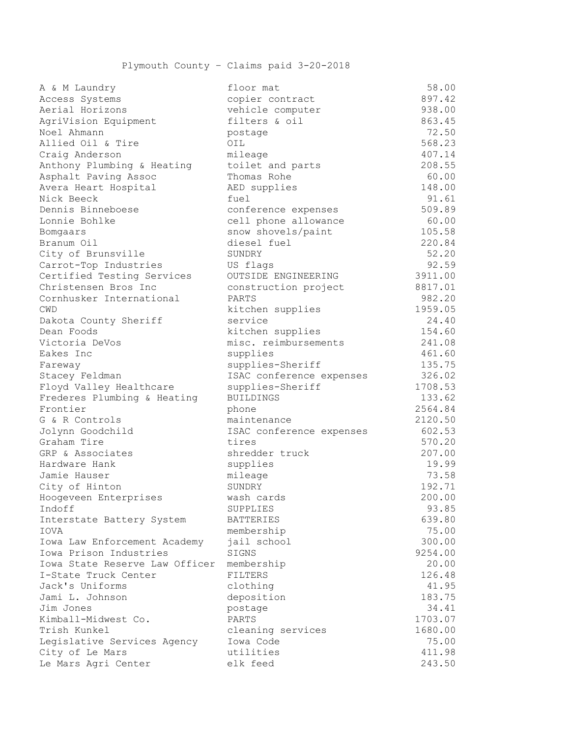| A & M Laundry                  | floor mat                | 58.00   |
|--------------------------------|--------------------------|---------|
| Access Systems                 | copier contract          | 897.42  |
| Aerial Horizons                | vehicle computer         | 938.00  |
| AgriVision Equipment           | filters & oil            | 863.45  |
| Noel Ahmann                    | postage                  | 72.50   |
| Allied Oil & Tire              | OIL                      | 568.23  |
| Craig Anderson                 | mileage                  | 407.14  |
| Anthony Plumbing & Heating     | toilet and parts         | 208.55  |
| Asphalt Paving Assoc           | Thomas Rohe              | 60.00   |
| Avera Heart Hospital           | AED supplies             | 148.00  |
| Nick Beeck                     | fuel                     | 91.61   |
| Dennis Binneboese              | conference expenses      | 509.89  |
| Lonnie Bohlke                  | cell phone allowance     | 60.00   |
| Bomgaars                       | snow shovels/paint       | 105.58  |
| Branum Oil                     | diesel fuel              | 220.84  |
| City of Brunsville             | SUNDRY                   | 52.20   |
| Carrot-Top Industries          | US flags                 | 92.59   |
| Certified Testing Services     | OUTSIDE ENGINEERING      | 3911.00 |
| Christensen Bros Inc           | construction project     | 8817.01 |
| Cornhusker International       | PARTS                    | 982.20  |
| <b>CWD</b>                     | kitchen supplies         | 1959.05 |
| Dakota County Sheriff          | service                  | 24.40   |
| Dean Foods                     | kitchen supplies         | 154.60  |
| Victoria DeVos                 | misc. reimbursements     | 241.08  |
| Eakes Inc                      | supplies                 | 461.60  |
| Fareway                        | supplies-Sheriff         | 135.75  |
| Stacey Feldman                 | ISAC conference expenses | 326.02  |
| Floyd Valley Healthcare        | supplies-Sheriff         | 1708.53 |
| Frederes Plumbing & Heating    | <b>BUILDINGS</b>         | 133.62  |
| Frontier                       | phone                    | 2564.84 |
| G & R Controls                 | maintenance              | 2120.50 |
| Jolynn Goodchild               | ISAC conference expenses | 602.53  |
| Graham Tire                    | tires                    | 570.20  |
| GRP & Associates               | shredder truck           | 207.00  |
| Hardware Hank                  | supplies                 | 19.99   |
| Jamie Hauser                   | mileage                  | 73.58   |
| City of Hinton                 | SUNDRY                   | 192.71  |
| Hoogeveen Enterprises          | wash cards               | 200.00  |
| Indoff                         | SUPPLIES                 | 93.85   |
| Interstate Battery System      | <b>BATTERIES</b>         | 639.80  |
| IOVA                           | membership               | 75.00   |
| Iowa Law Enforcement Academy   | jail school              | 300.00  |
| Iowa Prison Industries         | SIGNS                    | 9254.00 |
| Iowa State Reserve Law Officer | membership               | 20.00   |
| I-State Truck Center           | <b>FILTERS</b>           | 126.48  |
| Jack's Uniforms                | clothing                 | 41.95   |
| Jami L. Johnson                | deposition               | 183.75  |
| Jim Jones                      | postage                  | 34.41   |
| Kimball-Midwest Co.            | PARTS                    | 1703.07 |
| Trish Kunkel                   | cleaning services        | 1680.00 |
| Legislative Services Agency    | Iowa Code                | 75.00   |
| City of Le Mars                | utilities                | 411.98  |
| Le Mars Agri Center            | elk feed                 | 243.50  |
|                                |                          |         |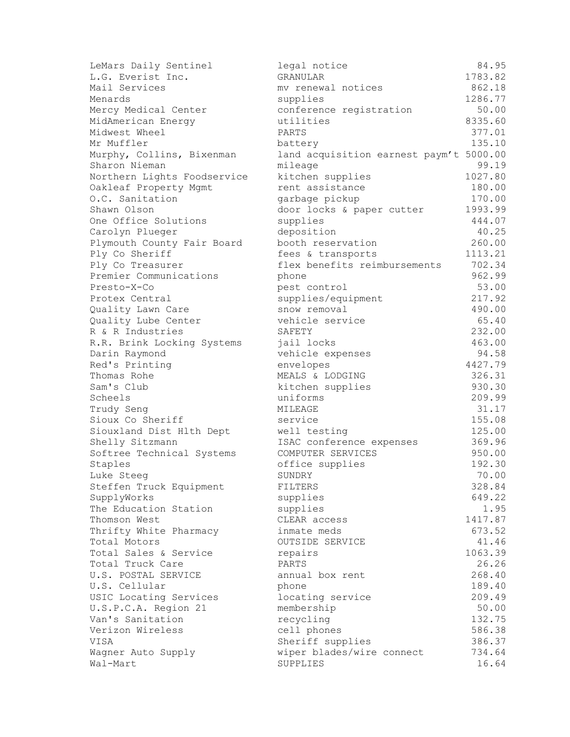| LeMars Daily Sentinel                    | legal notice                            | 84.95   |
|------------------------------------------|-----------------------------------------|---------|
| L.G. Everist Inc.                        | <b>GRANULAR</b>                         | 1783.82 |
| Mail Services                            | mv renewal notices                      | 862.18  |
| Menards                                  | supplies                                | 1286.77 |
| Mercy Medical Center                     | conference registration                 | 50.00   |
| MidAmerican Energy                       | utilities                               | 8335.60 |
| Midwest Wheel                            | PARTS                                   | 377.01  |
| Mr Muffler                               | battery                                 | 135.10  |
| Murphy, Collins, Bixenman                | land acquisition earnest paym't 5000.00 |         |
| Sharon Nieman                            | mileage                                 | 99.19   |
| Northern Lights Foodservice              | kitchen supplies                        | 1027.80 |
| Oakleaf Property Mgmt                    | rent assistance                         | 180.00  |
| O.C. Sanitation                          | garbage pickup                          | 170.00  |
| Shawn Olson                              | door locks & paper cutter               | 1993.99 |
| One Office Solutions                     | supplies                                | 444.07  |
| Carolyn Plueger                          | deposition                              | 40.25   |
| Plymouth County Fair Board               | booth reservation                       | 260.00  |
| Ply Co Sheriff                           | fees & transports                       | 1113.21 |
| Ply Co Treasurer                         | flex benefits reimbursements            | 702.34  |
| Premier Communications                   | phone                                   | 962.99  |
| Presto-X-Co                              | pest control                            | 53.00   |
| Protex Central                           | supplies/equipment                      | 217.92  |
| Quality Lawn Care                        | snow removal                            | 490.00  |
| Quality Lube Center                      | vehicle service                         | 65.40   |
| R & R Industries                         | SAFETY                                  | 232.00  |
| R.R. Brink Locking Systems               | jail locks                              | 463.00  |
| Darin Raymond                            | vehicle expenses                        | 94.58   |
| Red's Printing                           | envelopes                               | 4427.79 |
| Thomas Rohe                              | MEALS & LODGING                         | 326.31  |
| Sam's Club                               | kitchen supplies                        | 930.30  |
| Scheels                                  | uniforms                                | 209.99  |
| Trudy Seng                               | MILEAGE                                 | 31.17   |
| Sioux Co Sheriff                         | service                                 | 155.08  |
| Siouxland Dist Hlth Dept                 | well testing                            | 125.00  |
| Shelly Sitzmann                          | ISAC conference expenses                | 369.96  |
| Softree Technical Systems                | COMPUTER SERVICES                       | 950.00  |
| Staples                                  | office supplies                         | 192.30  |
| Luke Steeg                               | SUNDRY                                  | 70.00   |
| Steffen Truck Equipment                  | FILTERS                                 | 328.84  |
| SupplyWorks                              | supplies                                | 649.22  |
| The Education Station                    | supplies                                | 1.95    |
| Thomson West                             | CLEAR access                            | 1417.87 |
| Thrifty White Pharmacy                   | inmate meds                             | 673.52  |
| Total Motors                             | OUTSIDE SERVICE                         | 41.46   |
| Total Sales & Service                    | repairs                                 | 1063.39 |
| Total Truck Care                         | PARTS                                   | 26.26   |
| U.S. POSTAL SERVICE                      | annual box rent                         | 268.40  |
| U.S. Cellular                            | phone                                   | 189.40  |
| USIC Locating Services                   | locating service                        | 209.49  |
|                                          |                                         | 50.00   |
| U.S.P.C.A. Region 21<br>Van's Sanitation | membership<br>recycling                 | 132.75  |
| Verizon Wireless                         | cell phones                             | 586.38  |
| VISA                                     | Sheriff supplies                        | 386.37  |
|                                          |                                         | 734.64  |
| Wagner Auto Supply<br>Wal-Mart           | wiper blades/wire connect<br>SUPPLIES   | 16.64   |
|                                          |                                         |         |